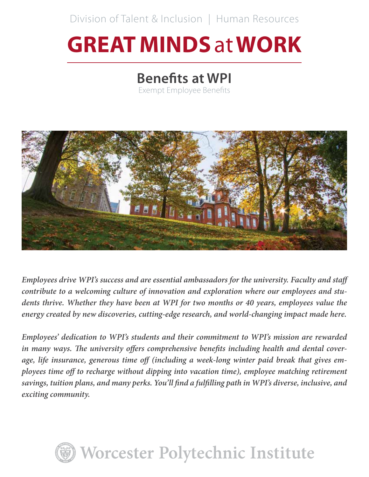Division of Talent & Inclusion | Human Resources

# **GREAT MINDS** at **WORK**

# **Benefits at WPI**

Exempt Employee Benefits



*Employees drive WPI's success and are essential ambassadors for the university. Faculty and staff contribute to a welcoming culture of innovation and exploration where our employees and students thrive. Whether they have been at WPI for two months or 40 years, employees value the energy created by new discoveries, cutting-edge research, and world-changing impact made here.*

*Employees' dedication to WPI's students and their commitment to WPI's mission are rewarded in many ways. The university offers comprehensive benefits including health and dental coverage, life insurance, generous time off (including a week-long winter paid break that gives employees time off to recharge without dipping into vacation time), employee matching retirement savings, tuition plans, and many perks. You'll find a fulfilling path in WPI's diverse, inclusive, and exciting community.*

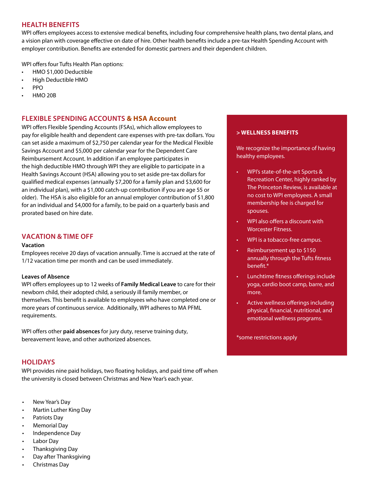# **HEALTH BENEFITS**

WPI offers employees access to extensive medical benefits, including four comprehensive health plans, two dental plans, and a vision plan with coverage effective on date of hire. Other health benefits include a pre-tax Health Spending Account with employer contribution. Benefits are extended for domestic partners and their dependent children.

WPI offers four Tufts Health Plan options:

- HMO \$1,000 Deductible
- High Deductible HMO
- PPO
- HMO 20B

# **FLEXIBLE SPENDING ACCOUNTS & HSA Account**

WPI offers Flexible Spending Accounts (FSAs), which allow employees to pay for eligible health and dependent care expenses with pre-tax dollars. You can set aside a maximum of \$2,750 per calendar year for the Medical Flexible Savings Account and \$5,000 per calendar year for the Dependent Care Reimbursement Account. In addition if an employee participates in the high deductible HMO through WPI they are eligible to participate in a Health Savings Account (HSA) allowing you to set aside pre-tax dollars for qualified medical expenses (annually \$7,200 for a family plan and \$3,600 for an individual plan), with a \$1,000 catch-up contribution if you are age 55 or older). The HSA is also eligible for an annual employer contribution of \$1,800 for an individual and \$4,000 for a family, to be paid on a quarterly basis and prorated based on hire date.

# **VACATION & TIME OFF**

#### **Vacation**

Employees receive 20 days of vacation annually. Time is accrued at the rate of 1/12 vacation time per month and can be used immediately.

#### **Leaves of Absence**

WPI offers employees up to 12 weeks of **Family Medical Leave** to care for their newborn child, their adopted child, a seriously ill family member, or themselves. This benefit is available to employees who have completed one or more years of continuous service. Additionally, WPI adheres to MA PFML requirements.

WPI offers other **paid absences** for jury duty, reserve training duty, bereavement leave, and other authorized absences.

## **HOLIDAYS**

WPI provides nine paid holidays, two floating holidays, and paid time off when the university is closed between Christmas and New Year's each year.

- New Year's Day
- Martin Luther King Day
- Patriots Day
- Memorial Day
- Independence Day
- Labor Day
- Thanksgiving Day
- Day after Thanksgiving
- Christmas Day

#### **> WELLNESS BENEFITS**

We recognize the importance of having healthy employees.

- WPI's state-of-the-art Sports & Recreation Center, highly ranked by The Princeton Review, is available at no cost to WPI employees. A small membership fee is charged for spouses.
- WPI also offers a discount with Worcester Fitness.
- WPI is a tobacco-free campus.
- Reimbursement up to \$150 annually through the Tufts fitness benefit.\*
- Lunchtime fitness offerings include yoga, cardio boot camp, barre, and more.
- Active wellness offerings including physical, financial, nutritional, and emotional wellness programs.

\*some restrictions apply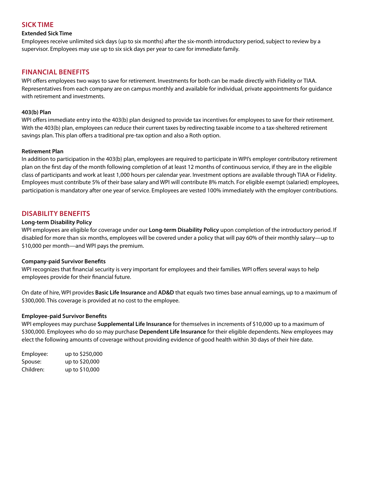# **SICK TIME**

#### **Extended Sick Time**

Employees receive unlimited sick days (up to six months) after the six-month introductory period, subject to review by a supervisor. Employees may use up to six sick days per year to care for immediate family.

# **FINANCIAL BENEFITS**

WPI offers employees two ways to save for retirement. Investments for both can be made directly with Fidelity or TIAA. Representatives from each company are on campus monthly and available for individual, private appointments for guidance with retirement and investments.

#### **403(b) Plan**

WPI offers immediate entry into the 403(b) plan designed to provide tax incentives for employees to save for their retirement. With the 403(b) plan, employees can reduce their current taxes by redirecting taxable income to a tax-sheltered retirement savings plan. This plan offers a traditional pre-tax option and also a Roth option.

#### **Retirement Plan**

In addition to participation in the 403(b) plan, employees are required to participate in WPI's employer contributory retirement plan on the first day of the month following completion of at least 12 months of continuous service, if they are in the eligible class of participants and work at least 1,000 hours per calendar year. Investment options are available through TIAA or Fidelity. Employees must contribute 5% of their base salary and WPI will contribute 8% match. For eligible exempt (salaried) employees, participation is mandatory after one year of service. Employees are vested 100% immediately with the employer contributions.

# **DISABILITY BENEFITS**

#### **Long-term Disability Policy**

WPI employees are eligible for coverage under our **Long-term Disability Policy** upon completion of the introductory period. If disabled for more than six months, employees will be covered under a policy that will pay 60% of their monthly salary—up to \$10,000 per month—and WPI pays the premium.

#### **Company-paid Survivor Benefits**

WPI recognizes that financial security is very important for employees and their families. WPI offers several ways to help employees provide for their financial future.

On date of hire, WPI provides **Basic Life Insurance** and **AD&D** that equals two times base annual earnings, up to a maximum of \$300,000. This coverage is provided at no cost to the employee.

#### **Employee-paid Survivor Benefits**

WPI employees may purchase **Supplemental Life Insurance** for themselves in increments of \$10,000 up to a maximum of \$300,000. Employees who do so may purchase **Dependent Life Insurance** for their eligible dependents. New employees may elect the following amounts of coverage without providing evidence of good health within 30 days of their hire date.

Employee: up to \$250,000 Spouse: up to \$20,000 Children: up to \$10,000